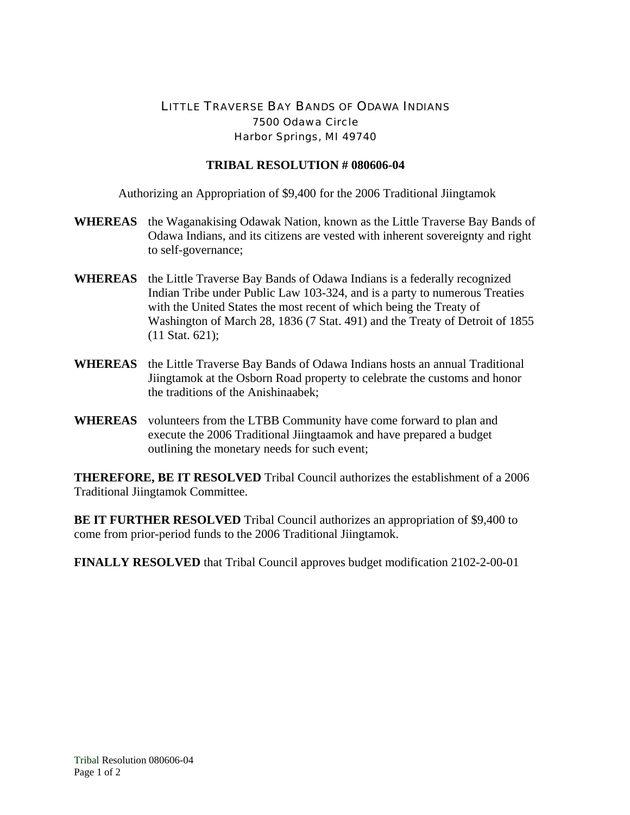## LITTLE TRAVERSE BAY BANDS OF ODAWA INDIANS 7500 Odawa Circle Harbor Springs, MI 49740

## **TRIBAL RESOLUTION # 080606-04**

Authorizing an Appropriation of \$9,400 for the 2006 Traditional Jiingtamok

- **WHEREAS** the Waganakising Odawak Nation, known as the Little Traverse Bay Bands of Odawa Indians, and its citizens are vested with inherent sovereignty and right to self-governance;
- **WHEREAS** the Little Traverse Bay Bands of Odawa Indians is a federally recognized Indian Tribe under Public Law 103-324, and is a party to numerous Treaties with the United States the most recent of which being the Treaty of Washington of March 28, 1836 (7 Stat. 491) and the Treaty of Detroit of 1855 (11 Stat. 621);
- **WHEREAS** the Little Traverse Bay Bands of Odawa Indians hosts an annual Traditional Jiingtamok at the Osborn Road property to celebrate the customs and honor the traditions of the Anishinaabek;
- **WHEREAS** volunteers from the LTBB Community have come forward to plan and execute the 2006 Traditional Jiingtaamok and have prepared a budget outlining the monetary needs for such event;

**THEREFORE, BE IT RESOLVED** Tribal Council authorizes the establishment of a 2006 Traditional Jiingtamok Committee.

**BE IT FURTHER RESOLVED** Tribal Council authorizes an appropriation of \$9,400 to come from prior-period funds to the 2006 Traditional Jiingtamok.

**FINALLY RESOLVED** that Tribal Council approves budget modification 2102-2-00-01